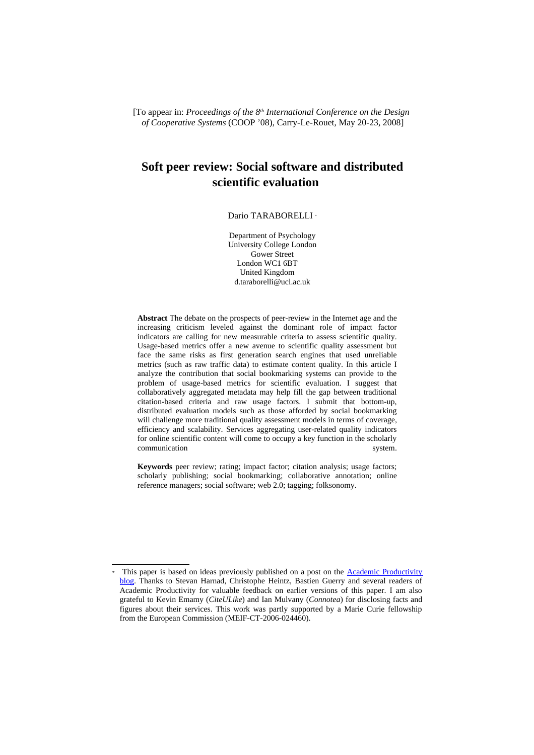[To appear in: *Proceedings of the 8th International Conference on the Design of Cooperative Systems* (COOP '08), Carry-Le-Rouet, May 20-23, 2008]

# **Soft peer review: Social software and distributed scientific evaluation**

#### DarioTARABORELLI \*

Department of Psychology University College London Gower Street London WC1 6BT United Kingdom d.taraborelli@ucl.ac.uk

**Abstract** The debate on the prospects of peer-review in the Internet age and the increasing criticism leveled against the dominant role of impact factor indicators are calling for new measurable criteria to assess scientific quality. Usage-based metrics offer a new avenue to scientific quality assessment but face the same risks as first generation search engines that used unreliable metrics (such as raw traffic data) to estimate content quality. In this article I analyze the contribution that social bookmarking systems can provide to the problem of usage-based metrics for scientific evaluation. I suggest that collaboratively aggregated metadata may help fill the gap between traditional citation-based criteria and raw usage factors. I submit that bottom-up, distributed evaluation models such as those afforded by social bookmarking will challenge more traditional quality assessment models in terms of coverage, efficiency and scalability. Services aggregating user-related quality indicators for online scientific content will come to occupy a key function in the scholarly communication system.

**Keywords** peer review; rating; impact factor; citation analysis; usage factors; scholarly publishing; social bookmarking; collaborative annotation; online reference managers; social software; web 2.0; tagging; folksonomy.

<span id="page-0-0"></span>This paper is based on ideas previously published on a post on the **Academic Productivity** [blog.](http://www.academicproductivity.com/blog/2007/soft-peer-review-social-software-and-distributed-scientific-evaluation/) Thanks to Stevan Harnad, Christophe Heintz, Bastien Guerry and several readers of Academic Productivity for valuable feedback on earlier versions of this paper. I am also grateful to Kevin Emamy (*CiteULike*) and Ian Mulvany (*Connotea*) for disclosing facts and figures about their services. This work was partly supported by a Marie Curie fellowship from the European Commission (MEIF-CT-2006-024460).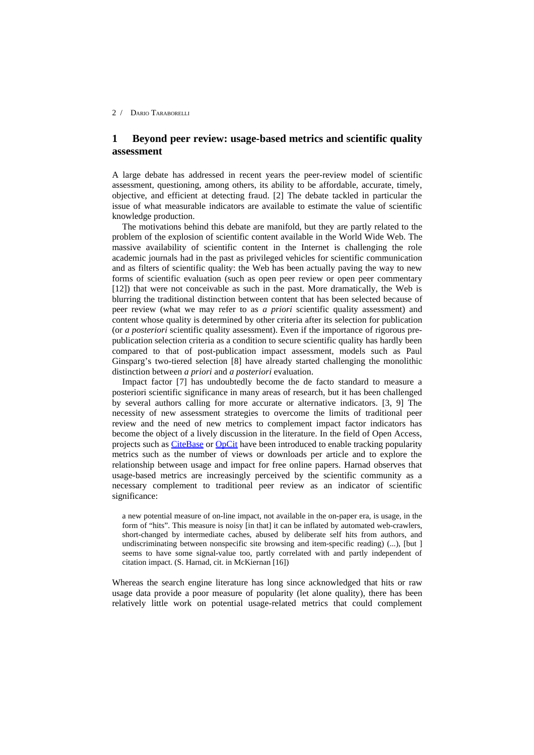## **1 Beyond peer review: usage-based metrics and scientific quality assessment**

A large debate has addressed in recent years the peer-review model of scientific assessment, questioning, among others, its ability to be affordable, accurate, timely, objective, and efficient at detecting fraud. [2] The debate tackled in particular the issue of what measurable indicators are available to estimate the value of scientific knowledge production.

The motivations behind this debate are manifold, but they are partly related to the problem of the explosion of scientific content available in the World Wide Web. The massive availability of scientific content in the Internet is challenging the role academic journals had in the past as privileged vehicles for scientific communication and as filters of scientific quality: the Web has been actually paving the way to new forms of scientific evaluation (such as open peer review or open peer commentary [12]) that were not conceivable as such in the past. More dramatically, the Web is blurring the traditional distinction between content that has been selected because of peer review (what we may refer to as *a priori* scientific quality assessment) and content whose quality is determined by other criteria after its selection for publication (or *a posteriori* scientific quality assessment). Even if the importance of rigorous prepublication selection criteria as a condition to secure scientific quality has hardly been compared to that of post-publication impact assessment, models such as Paul Ginsparg's two-tiered selection [8] have already started challenging the monolithic distinction between *a priori* and *a posteriori* evaluation.

Impact factor [7] has undoubtedly become the de facto standard to measure a posteriori scientific significance in many areas of research, but it has been challenged by several authors calling for more accurate or alternative indicators. [3, 9] The necessity of new assessment strategies to overcome the limits of traditional peer review and the need of new metrics to complement impact factor indicators has become the object of a lively discussion in the literature. In the field of Open Access, projects such as [CiteBase](http://www.citebase.org/) or [OpCit](http://opcit.eprints.org/) have been introduced to enable tracking popularity metrics such as the number of views or downloads per article and to explore the relationship between usage and impact for free online papers. Harnad observes that usage-based metrics are increasingly perceived by the scientific community as a necessary complement to traditional peer review as an indicator of scientific significance:

a new potential measure of on-line impact, not available in the on-paper era, is usage, in the form of "hits". This measure is noisy [in that] it can be inflated by automated web-crawlers, short-changed by intermediate caches, abused by deliberate self hits from authors, and undiscriminating between nonspecific site browsing and item-specific reading) (...), [but ] seems to have some signal-value too, partly correlated with and partly independent of citation impact. (S. Harnad, cit. in McKiernan [16])

Whereas the search engine literature has long since acknowledged that hits or raw usage data provide a poor measure of popularity (let alone quality), there has been relatively little work on potential usage-related metrics that could complement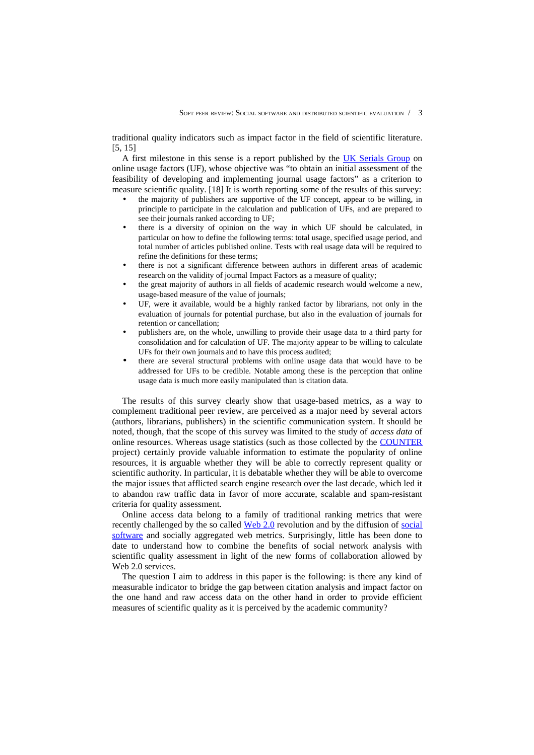traditional quality indicators such as impact factor in the field of scientific literature. [5, 15]

A first milestone in this sense is a report published by the [UK Serials Group](http://www.uksg.org/) on online usage factors (UF), whose objective was "to obtain an initial assessment of the feasibility of developing and implementing journal usage factors" as a criterion to measure scientific quality. [18] It is worth reporting some of the results of this survey:

- the majority of publishers are supportive of the UF concept, appear to be willing, in principle to participate in the calculation and publication of UFs, and are prepared to see their journals ranked according to UF;
- there is a diversity of opinion on the way in which UF should be calculated, in particular on how to define the following terms: total usage, specified usage period, and total number of articles published online. Tests with real usage data will be required to refine the definitions for these terms;
- there is not a significant difference between authors in different areas of academic research on the validity of journal Impact Factors as a measure of quality;
- the great majority of authors in all fields of academic research would welcome a new, usage-based measure of the value of journals;
- UF, were it available, would be a highly ranked factor by librarians, not only in the evaluation of journals for potential purchase, but also in the evaluation of journals for retention or cancellation;
- publishers are, on the whole, unwilling to provide their usage data to a third party for consolidation and for calculation of UF. The majority appear to be willing to calculate UFs for their own journals and to have this process audited;
- there are several structural problems with online usage data that would have to be addressed for UFs to be credible. Notable among these is the perception that online usage data is much more easily manipulated than is citation data.

The results of this survey clearly show that usage-based metrics, as a way to complement traditional peer review, are perceived as a major need by several actors (authors, librarians, publishers) in the scientific communication system. It should be noted, though, that the scope of this survey was limited to the study of *access data* of online resources. Whereas usage statistics (such as those collected by the [COUNTER](http://www.projectcounter.org/) project) certainly provide valuable information to estimate the popularity of online resources, it is arguable whether they will be able to correctly represent quality or scientific authority. In particular, it is debatable whether they will be able to overcome the major issues that afflicted search engine research over the last decade, which led it to abandon raw traffic data in favor of more accurate, scalable and spam-resistant criteria for quality assessment.

Online access data belong to a family of traditional ranking metrics that were recently challenged by the so called [Web 2.0](http://en.wikipedia.org/wiki/Web_2) revolution and by the diffusion of [social](http://en.wikipedia.org/wiki/Social_software) [software](http://en.wikipedia.org/wiki/Social_software) and socially aggregated web metrics. Surprisingly, little has been done to date to understand how to combine the benefits of social network analysis with scientific quality assessment in light of the new forms of collaboration allowed by Web 2.0 services.

The question I aim to address in this paper is the following: is there any kind of measurable indicator to bridge the gap between citation analysis and impact factor on the one hand and raw access data on the other hand in order to provide efficient measures of scientific quality as it is perceived by the academic community?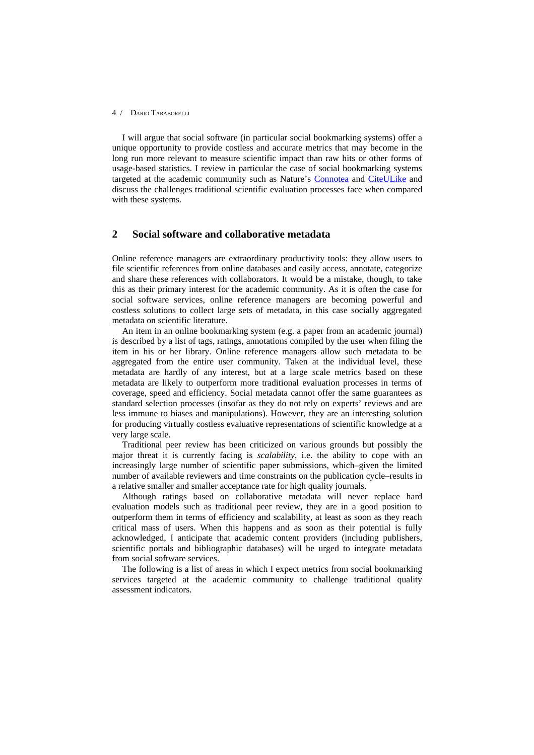I will argue that social software (in particular social bookmarking systems) offer a unique opportunity to provide costless and accurate metrics that may become in the long run more relevant to measure scientific impact than raw hits or other forms of usage-based statistics. I review in particular the case of social bookmarking systems targeted at the academic community such as Nature's [Connotea](http://www.connotea.org/) and [CiteULike](http://www.citeulike.org/) and discuss the challenges traditional scientific evaluation processes face when compared with these systems.

### **2 Social software and collaborative metadata**

Online reference managers are extraordinary productivity tools: they allow users to file scientific references from online databases and easily access, annotate, categorize and share these references with collaborators. It would be a mistake, though, to take this as their primary interest for the academic community. As it is often the case for social software services, online reference managers are becoming powerful and costless solutions to collect large sets of metadata, in this case socially aggregated metadata on scientific literature.

An item in an online bookmarking system (e.g. a paper from an academic journal) is described by a list of tags, ratings, annotations compiled by the user when filing the item in his or her library. Online reference managers allow such metadata to be aggregated from the entire user community. Taken at the individual level, these metadata are hardly of any interest, but at a large scale metrics based on these metadata are likely to outperform more traditional evaluation processes in terms of coverage, speed and efficiency. Social metadata cannot offer the same guarantees as standard selection processes (insofar as they do not rely on experts' reviews and are less immune to biases and manipulations). However, they are an interesting solution for producing virtually costless evaluative representations of scientific knowledge at a very large scale.

Traditional peer review has been criticized on various grounds but possibly the major threat it is currently facing is *scalability*, i.e. the ability to cope with an increasingly large number of scientific paper submissions, which–given the limited number of available reviewers and time constraints on the publication cycle–results in a relative smaller and smaller acceptance rate for high quality journals.

Although ratings based on collaborative metadata will never replace hard evaluation models such as traditional peer review, they are in a good position to outperform them in terms of efficiency and scalability, at least as soon as they reach critical mass of users. When this happens and as soon as their potential is fully acknowledged, I anticipate that academic content providers (including publishers, scientific portals and bibliographic databases) will be urged to integrate metadata from social software services.

The following is a list of areas in which I expect metrics from social bookmarking services targeted at the academic community to challenge traditional quality assessment indicators.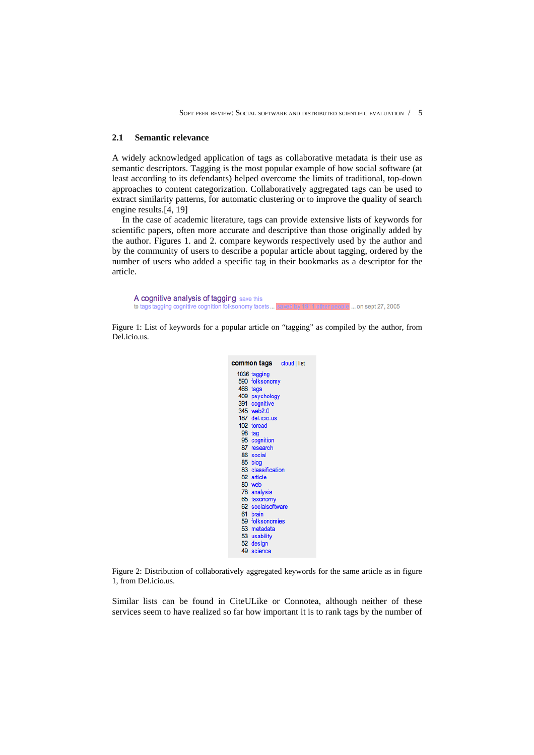### **2.1 Semantic relevance**

A widely acknowledged application of tags as collaborative metadata is their use as semantic descriptors. Tagging is the most popular example of how social software (at least according to its defendants) helped overcome the limits of traditional, top-down approaches to content categorization. Collaboratively aggregated tags can be used to extract similarity patterns, for automatic clustering or to improve the quality of search engine results.[4, 19]

In the case of academic literature, tags can provide extensive lists of keywords for scientific papers, often more accurate and descriptive than those originally added by the author. Figures 1. and 2. compare keywords respectively used by the author and by the community of users to describe a popular article about tagging, ordered by the number of users who added a specific tag in their bookmarks as a descriptor for the article.



Figure 1: List of keywords for a popular article on "tagging" as compiled by the author, from Del.icio.us.

|          | <b>common tags cloud</b>   list |
|----------|---------------------------------|
|          | 1036 tagging                    |
|          | 590 folksonomy                  |
| 466 tags |                                 |
|          | 409 psychology                  |
|          | 391 cognitive                   |
|          | 345 web2.0                      |
|          | 187 del.icio.us                 |
|          | 102 toread                      |
|          | 98 tag                          |
|          | 95 cognition                    |
|          | 87 research                     |
|          | 86 social                       |
|          | 85 blog                         |
|          | 83 classification               |
|          | 82 article                      |
|          | 80 web                          |
|          | 78 analysis                     |
|          | 65 taxonomy                     |
|          | 62 socialsoftware               |
|          | 61 brain                        |
|          | 59 folksonomies                 |
|          | 53 metadata                     |
|          | 53 usability                    |
|          | 52 design                       |
|          | 49 science                      |
|          |                                 |

Figure 2: Distribution of collaboratively aggregated keywords for the same article as in figure 1, from Del.icio.us.

Similar lists can be found in CiteULike or Connotea, although neither of these services seem to have realized so far how important it is to rank tags by the number of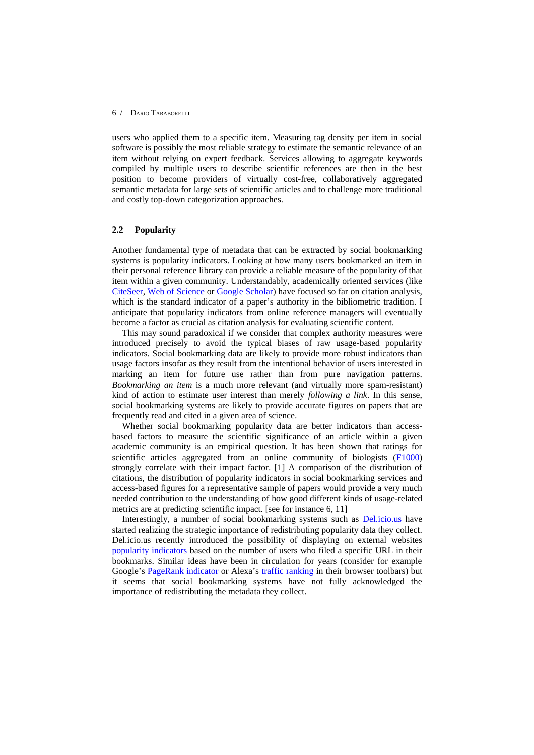users who applied them to a specific item. Measuring tag density per item in social software is possibly the most reliable strategy to estimate the semantic relevance of an item without relying on expert feedback. Services allowing to aggregate keywords compiled by multiple users to describe scientific references are then in the best position to become providers of virtually cost-free, collaboratively aggregated semantic metadata for large sets of scientific articles and to challenge more traditional and costly top-down categorization approaches.

### **2.2 Popularity**

Another fundamental type of metadata that can be extracted by social bookmarking systems is popularity indicators. Looking at how many users bookmarked an item in their personal reference library can provide a reliable measure of the popularity of that item within a given community. Understandably, academically oriented services (like [CiteSeer,](http://citeseer.ist.psu.edu/) [Web of Science](http://scientific.thomson.com/products/wos/) or [Google Scholar\)](http://scholar.google.com/) have focused so far on citation analysis, which is the standard indicator of a paper's authority in the bibliometric tradition. I anticipate that popularity indicators from online reference managers will eventually become a factor as crucial as citation analysis for evaluating scientific content.

This may sound paradoxical if we consider that complex authority measures were introduced precisely to avoid the typical biases of raw usage-based popularity indicators. Social bookmarking data are likely to provide more robust indicators than usage factors insofar as they result from the intentional behavior of users interested in marking an item for future use rather than from pure navigation patterns. *Bookmarking an item* is a much more relevant (and virtually more spam-resistant) kind of action to estimate user interest than merely *following a link*. In this sense, social bookmarking systems are likely to provide accurate figures on papers that are frequently read and cited in a given area of science.

Whether social bookmarking popularity data are better indicators than accessbased factors to measure the scientific significance of an article within a given academic community is an empirical question. It has been shown that ratings for scientific articles aggregated from an online community of biologists [\(F1000\)](http://www.facultyof1000.com/) strongly correlate with their impact factor. [1] A comparison of the distribution of citations, the distribution of popularity indicators in social bookmarking services and access-based figures for a representative sample of papers would provide a very much needed contribution to the understanding of how good different kinds of usage-related metrics are at predicting scientific impact. [see for instance 6, 11]

Interestingly, a number of social bookmarking systems such as **Del.icio.us** have started realizing the strategic importance of redistributing popularity data they collect. Del.icio.us recently introduced the possibility of displaying on external websites [popularity indicators](http://blog.delicious.com/blog/2006/12/the_new_and_tag.html) based on the number of users who filed a specific URL in their bookmarks. Similar ideas have been in circulation for years (consider for example Google's [PageRank indicator](http://toolbar.google.com/button_help.html) or Alexa's [traffic ranking](http://www.alexa.com/site/help/traffic_learn_more) in their browser toolbars) but it seems that social bookmarking systems have not fully acknowledged the importance of redistributing the metadata they collect.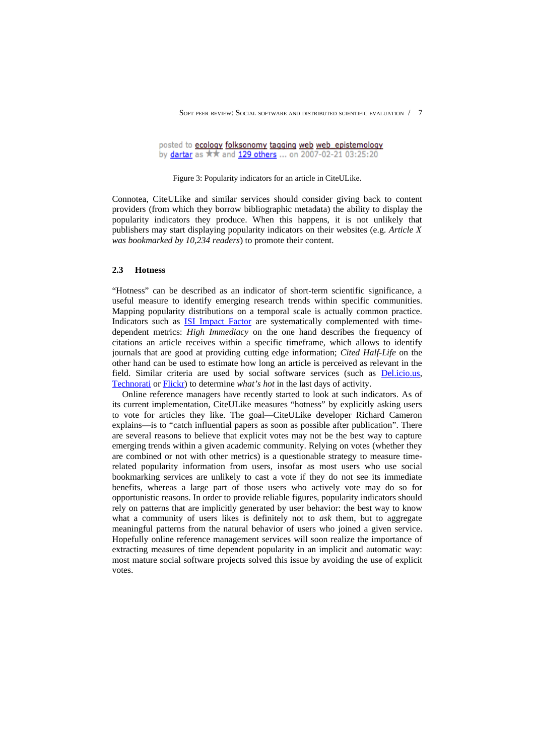SOFT PEER REVIEW: SOCIAL SOFTWARE AND DISTRIBUTED SCIENTIFIC EVALUATION / 7

posted to ecology folksonomy tagging web web\_epistemology by dartar as \*\* and 129 others ... on 2007-02-21 03:25:20

Figure 3: Popularity indicators for an article in CiteULike.

Connotea, CiteULike and similar services should consider giving back to content providers (from which they borrow bibliographic metadata) the ability to display the popularity indicators they produce. When this happens, it is not unlikely that publishers may start displaying popularity indicators on their websites (e.g. *Article X was bookmarked by 10,234 readers*) to promote their content.

### **2.3 Hotness**

"Hotness" can be described as an indicator of short-term scientific significance, a useful measure to identify emerging research trends within specific communities. Mapping popularity distributions on a temporal scale is actually common practice. Indicators such as [ISI Impact Factor](http://scientific.thomson.com/free/essays/journalcitationreports/impactfactor/) are systematically complemented with timedependent metrics: *High Immediacy* on the one hand describes the frequency of citations an article receives within a specific timeframe, which allows to identify journals that are good at providing cutting edge information; *Cited Half-Life* on the other hand can be used to estimate how long an article is perceived as relevant in the field. Similar criteria are used by social software services (such as **Del.icio.us**, [Technorati](http://www.technorati.com/) or [Flickr\)](http://flickr.com/) to determine *what's hot* in the last days of activity.

Online reference managers have recently started to look at such indicators. As of its current implementation, CiteULike measures "hotness" by explicitly asking users to vote for articles they like. The goal—CiteULike developer Richard Cameron explains—is to "catch influential papers as soon as possible after publication". There are several reasons to believe that explicit votes may not be the best way to capture emerging trends within a given academic community. Relying on votes (whether they are combined or not with other metrics) is a questionable strategy to measure timerelated popularity information from users, insofar as most users who use social bookmarking services are unlikely to cast a vote if they do not see its immediate benefits, whereas a large part of those users who actively vote may do so for opportunistic reasons. In order to provide reliable figures, popularity indicators should rely on patterns that are implicitly generated by user behavior: the best way to know what a community of users likes is definitely not to *ask* them, but to aggregate meaningful patterns from the natural behavior of users who joined a given service. Hopefully online reference management services will soon realize the importance of extracting measures of time dependent popularity in an implicit and automatic way: most mature social software projects solved this issue by avoiding the use of explicit votes.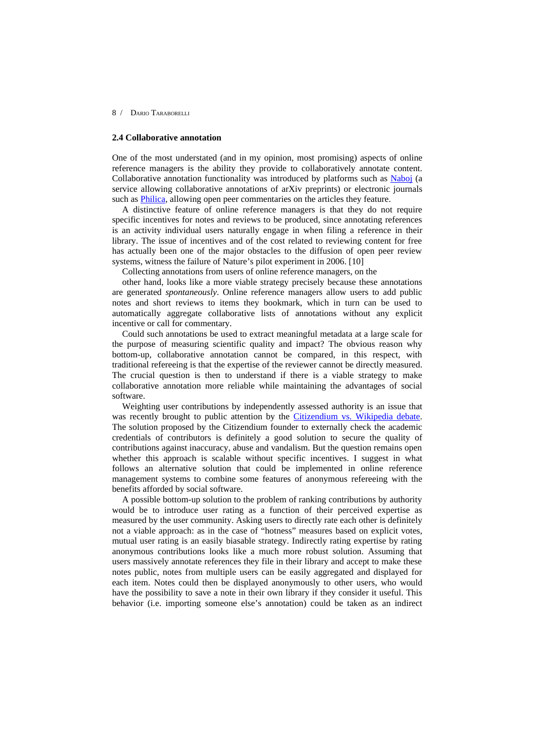### **2.4 Collaborative annotation**

One of the most understated (and in my opinion, most promising) aspects of online reference managers is the ability they provide to collaboratively annotate content. Collaborative annotation functionality was introduced by platforms such as [Naboj](http://www.naboj.com/) (a service allowing collaborative annotations of arXiv preprints) or electronic journals such as **Philica**, allowing open peer commentaries on the articles they feature.

A distinctive feature of online reference managers is that they do not require specific incentives for notes and reviews to be produced, since annotating references is an activity individual users naturally engage in when filing a reference in their library. The issue of incentives and of the cost related to reviewing content for free has actually been one of the major obstacles to the diffusion of open peer review systems, witness the failure of Nature's pilot experiment in 2006. [10]

Collecting annotations from users of online reference managers, on the

other hand, looks like a more viable strategy precisely because these annotations are generated *spontaneously*. Online reference managers allow users to add public notes and short reviews to items they bookmark, which in turn can be used to automatically aggregate collaborative lists of annotations without any explicit incentive or call for commentary.

Could such annotations be used to extract meaningful metadata at a large scale for the purpose of measuring scientific quality and impact? The obvious reason why bottom-up, collaborative annotation cannot be compared, in this respect, with traditional refereeing is that the expertise of the reviewer cannot be directly measured. The crucial question is then to understand if there is a viable strategy to make collaborative annotation more reliable while maintaining the advantages of social software.

Weighting user contributions by independently assessed authority is an issue that was recently brought to public attention by the [Citizendium vs. Wikipedia debate.](http://blog.citizendium.org/2007/03/21/we-arent-wikipedia/) The solution proposed by the Citizendium founder to externally check the academic credentials of contributors is definitely a good solution to secure the quality of contributions against inaccuracy, abuse and vandalism. But the question remains open whether this approach is scalable without specific incentives. I suggest in what follows an alternative solution that could be implemented in online reference management systems to combine some features of anonymous refereeing with the benefits afforded by social software.

A possible bottom-up solution to the problem of ranking contributions by authority would be to introduce user rating as a function of their perceived expertise as measured by the user community. Asking users to directly rate each other is definitely not a viable approach: as in the case of "hotness" measures based on explicit votes, mutual user rating is an easily biasable strategy. Indirectly rating expertise by rating anonymous contributions looks like a much more robust solution. Assuming that users massively annotate references they file in their library and accept to make these notes public, notes from multiple users can be easily aggregated and displayed for each item. Notes could then be displayed anonymously to other users, who would have the possibility to save a note in their own library if they consider it useful. This behavior (i.e. importing someone else's annotation) could be taken as an indirect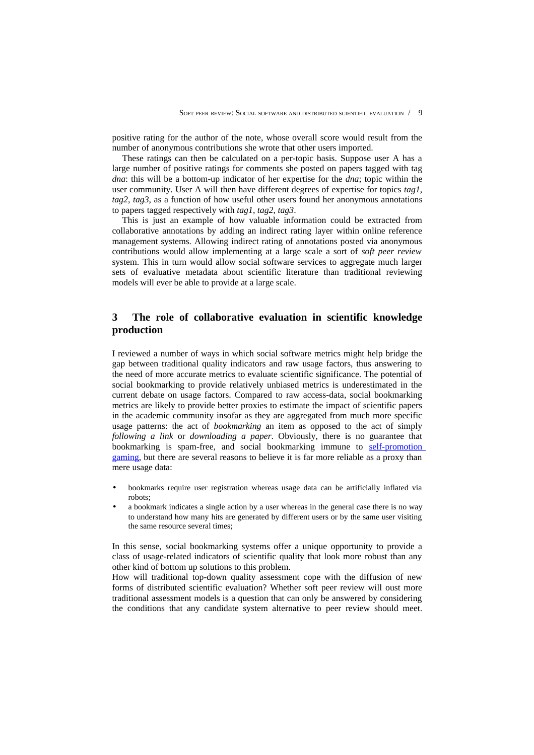positive rating for the author of the note, whose overall score would result from the number of anonymous contributions she wrote that other users imported.

These ratings can then be calculated on a per-topic basis. Suppose user A has a large number of positive ratings for comments she posted on papers tagged with tag *dna*: this will be a bottom-up indicator of her expertise for the *dna*; topic within the user community. User A will then have different degrees of expertise for topics *tag1*, *tag2*, *tag3*, as a function of how useful other users found her anonymous annotations to papers tagged respectively with *tag1*, *tag2*, *tag3*.

This is just an example of how valuable information could be extracted from collaborative annotations by adding an indirect rating layer within online reference management systems. Allowing indirect rating of annotations posted via anonymous contributions would allow implementing at a large scale a sort of *soft peer review* system. This in turn would allow social software services to aggregate much larger sets of evaluative metadata about scientific literature than traditional reviewing models will ever be able to provide at a large scale.

# **3 The role of collaborative evaluation in scientific knowledge production**

I reviewed a number of ways in which social software metrics might help bridge the gap between traditional quality indicators and raw usage factors, thus answering to the need of more accurate metrics to evaluate scientific significance. The potential of social bookmarking to provide relatively unbiased metrics is underestimated in the current debate on usage factors. Compared to raw access-data, social bookmarking metrics are likely to provide better proxies to estimate the impact of scientific papers in the academic community insofar as they are aggregated from much more specific usage patterns: the act of *bookmarking* an item as opposed to the act of simply *following a link* or *downloading a paper*. Obviously, there is no guarantee that bookmarking is spam-free, and social bookmarking immune to [self-promotion](http://www.brianstorms.com/archives/000575.html) [gaming,](http://www.brianstorms.com/archives/000575.html) but there are several reasons to believe it is far more reliable as a proxy than mere usage data:

- bookmarks require user registration whereas usage data can be artificially inflated via robots;
- a bookmark indicates a single action by a user whereas in the general case there is no way to understand how many hits are generated by different users or by the same user visiting the same resource several times;

In this sense, social bookmarking systems offer a unique opportunity to provide a class of usage-related indicators of scientific quality that look more robust than any other kind of bottom up solutions to this problem.

How will traditional top-down quality assessment cope with the diffusion of new forms of distributed scientific evaluation? Whether soft peer review will oust more traditional assessment models is a question that can only be answered by considering the conditions that any candidate system alternative to peer review should meet.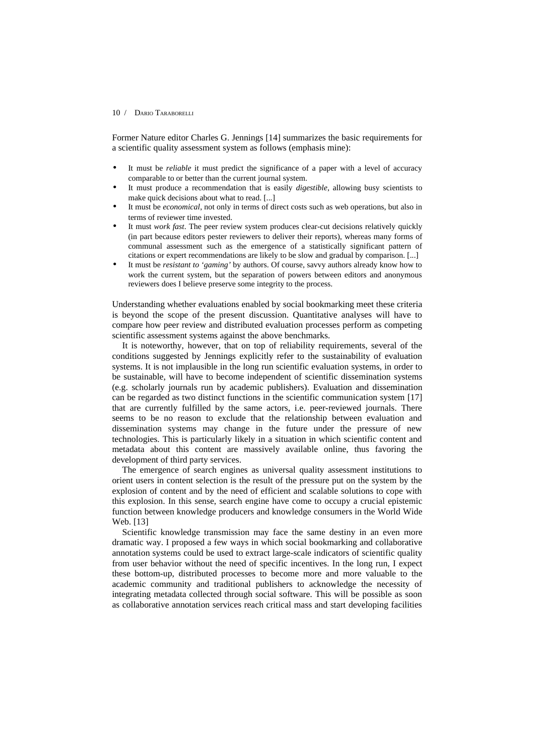Former Nature editor Charles G. Jennings [14] summarizes the basic requirements for a scientific quality assessment system as follows (emphasis mine):

- It must be *reliable* it must predict the significance of a paper with a level of accuracy comparable to or better than the current journal system.
- It must produce a recommendation that is easily *digestible*, allowing busy scientists to make quick decisions about what to read. [...]
- It must be *economical*, not only in terms of direct costs such as web operations, but also in terms of reviewer time invested.
- It must *work fast*. The peer review system produces clear-cut decisions relatively quickly (in part because editors pester reviewers to deliver their reports), whereas many forms of communal assessment such as the emergence of a statistically significant pattern of citations or expert recommendations are likely to be slow and gradual by comparison. [...]
- It must be *resistant to 'gaming'* by authors. Of course, savvy authors already know how to work the current system, but the separation of powers between editors and anonymous reviewers does I believe preserve some integrity to the process.

Understanding whether evaluations enabled by social bookmarking meet these criteria is beyond the scope of the present discussion. Quantitative analyses will have to compare how peer review and distributed evaluation processes perform as competing scientific assessment systems against the above benchmarks.

It is noteworthy, however, that on top of reliability requirements, several of the conditions suggested by Jennings explicitly refer to the sustainability of evaluation systems. It is not implausible in the long run scientific evaluation systems, in order to be sustainable, will have to become independent of scientific dissemination systems (e.g. scholarly journals run by academic publishers). Evaluation and dissemination can be regarded as two distinct functions in the scientific communication system [17] that are currently fulfilled by the same actors, i.e. peer-reviewed journals. There seems to be no reason to exclude that the relationship between evaluation and dissemination systems may change in the future under the pressure of new technologies. This is particularly likely in a situation in which scientific content and metadata about this content are massively available online, thus favoring the development of third party services.

The emergence of search engines as universal quality assessment institutions to orient users in content selection is the result of the pressure put on the system by the explosion of content and by the need of efficient and scalable solutions to cope with this explosion. In this sense, search engine have come to occupy a crucial epistemic function between knowledge producers and knowledge consumers in the World Wide Web. [13]

Scientific knowledge transmission may face the same destiny in an even more dramatic way. I proposed a few ways in which social bookmarking and collaborative annotation systems could be used to extract large-scale indicators of scientific quality from user behavior without the need of specific incentives. In the long run, I expect these bottom-up, distributed processes to become more and more valuable to the academic community and traditional publishers to acknowledge the necessity of integrating metadata collected through social software. This will be possible as soon as collaborative annotation services reach critical mass and start developing facilities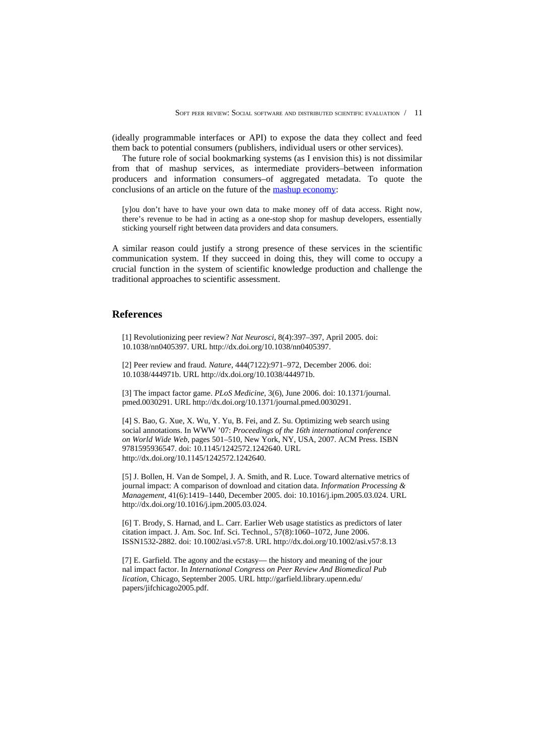(ideally programmable interfaces or API) to expose the data they collect and feed them back to potential consumers (publishers, individual users or other services).

The future role of social bookmarking systems (as I envision this) is not dissimilar from that of mashup services, as intermediate providers–between information producers and information consumers–of aggregated metadata. To quote the conclusions of an article on the future of the [mashup economy:](http://gigaom.com/2007/01/21/making-money-in-the-mashup-economy/)

[y]ou don't have to have your own data to make money off of data access. Right now, there's revenue to be had in acting as a one-stop shop for mashup developers, essentially sticking yourself right between data providers and data consumers.

A similar reason could justify a strong presence of these services in the scientific communication system. If they succeed in doing this, they will come to occupy a crucial function in the system of scientific knowledge production and challenge the traditional approaches to scientific assessment.

### **References**

[1] Revolutionizing peer review? *Nat Neurosci*, 8(4):397–397, April 2005. doi: 10.1038/nn0405397. URL http://dx.doi.org/10.1038/nn0405397.

[2] Peer review and fraud. *Nature*, 444(7122):971–972, December 2006. doi: 10.1038/444971b. URL http://dx.doi.org/10.1038/444971b.

[3] The impact factor game. *PLoS Medicine*, 3(6), June 2006. doi: 10.1371/journal. pmed.0030291. URL http://dx.doi.org/10.1371/journal.pmed.0030291.

[4] S. Bao, G. Xue, X. Wu, Y. Yu, B. Fei, and Z. Su. Optimizing web search using social annotations. In WWW '07: *Proceedings of the 16th international conference on World Wide Web*, pages 501–510, New York, NY, USA, 2007. ACM Press. ISBN 9781595936547. doi: 10.1145/1242572.1242640. URL http://dx.doi.org/10.1145/1242572.1242640.

[5] J. Bollen, H. Van de Sompel, J. A. Smith, and R. Luce. Toward alternative metrics of journal impact: A comparison of download and citation data. *Information Processing & Management*, 41(6):1419–1440, December 2005. doi: 10.1016/j.ipm.2005.03.024. URL http://dx.doi.org/10.1016/j.ipm.2005.03.024.

[6] T. Brody, S. Harnad, and L. Carr. Earlier Web usage statistics as predictors of later citation impact. J. Am. Soc. Inf. Sci. Technol., 57(8):1060–1072, June 2006. ISSN1532-2882. doi: 10.1002/asi.v57:8. URL http://dx.doi.org/10.1002/asi.v57:8.13

[7] E. Garfield. The agony and the ecstasy— the history and meaning of the jour nal impact factor. In *International Congress on Peer Review And Biomedical Pub lication*, Chicago, September 2005. URL http://garfield.library.upenn.edu/ papers/jifchicago2005.pdf.